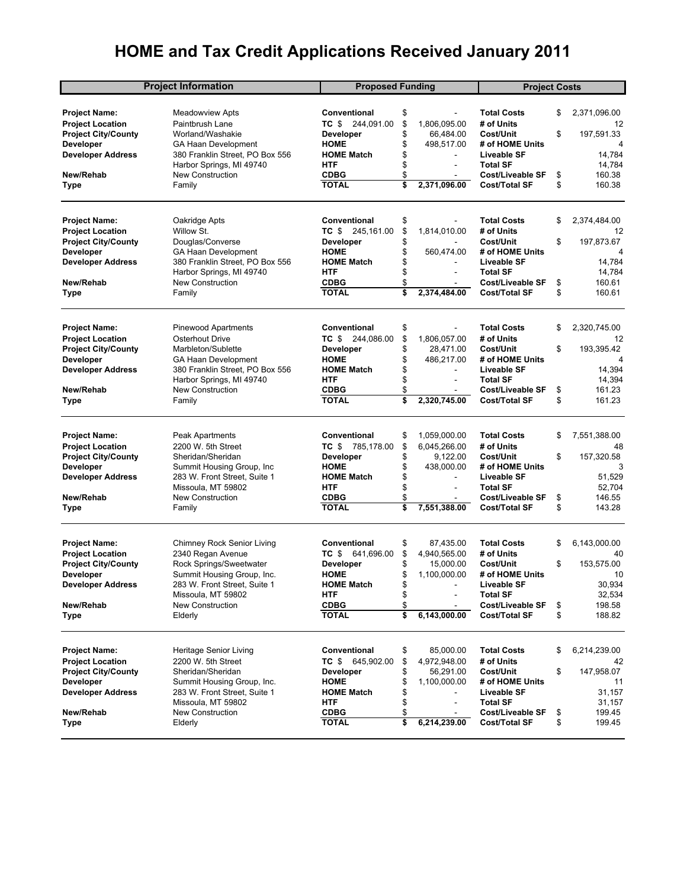## **HOME and Tax Credit Applications Received January 2011**

| <b>Project Information</b> |                                 | <b>Proposed Funding</b>     |          |                          | <b>Project Costs</b>                     |          |              |
|----------------------------|---------------------------------|-----------------------------|----------|--------------------------|------------------------------------------|----------|--------------|
|                            |                                 |                             |          |                          |                                          |          |              |
| <b>Project Name:</b>       | Meadowview Apts                 | Conventional                | \$       |                          | Total Costs                              | \$       | 2,371,096.00 |
| <b>Project Location</b>    | Paintbrush Lane                 | TC \$<br>244,091.00         | \$       | 1,806,095.00             | # of Units                               |          | 12           |
| <b>Project City/County</b> | Worland/Washakie                | <b>Developer</b>            | \$       | 66,484.00                | Cost/Unit                                | \$       | 197,591.33   |
| <b>Developer</b>           | <b>GA Haan Development</b>      | <b>HOME</b>                 | \$       | 498,517.00               | # of HOME Units                          |          | 4            |
| <b>Developer Address</b>   | 380 Franklin Street, PO Box 556 | <b>HOME Match</b>           | \$       |                          | <b>Liveable SF</b>                       |          | 14,784       |
|                            | Harbor Springs, MI 49740        | <b>HTF</b>                  | \$       |                          | <b>Total SF</b>                          |          | 14,784       |
| New/Rehab                  | <b>New Construction</b>         | <b>CDBG</b>                 | \$       | ÷                        | <b>Cost/Liveable SF</b>                  | \$       | 160.38       |
| Type                       | Family                          | <b>TOTAL</b>                | \$       | 2,371,096.00             | Cost/Total SF                            | \$       | 160.38       |
|                            |                                 |                             |          |                          |                                          |          |              |
| <b>Project Name:</b>       | Oakridge Apts                   | <b>Conventional</b>         | \$       |                          | Total Costs                              | \$       | 2,374,484.00 |
| <b>Project Location</b>    | Willow St.                      | TC \$ 245,161.00            | \$       | 1,814,010.00             | # of Units                               |          | 12           |
| <b>Project City/County</b> | Douglas/Converse                | <b>Developer</b>            | \$       |                          | Cost/Unit                                | \$       | 197,873.67   |
| <b>Developer</b>           | GA Haan Development             | <b>HOME</b>                 | \$       | 560,474.00               | # of HOME Units                          |          | 4            |
| <b>Developer Address</b>   | 380 Franklin Street, PO Box 556 | <b>HOME Match</b>           | \$       | ä,                       | Liveable SF                              |          | 14,784       |
|                            | Harbor Springs, MI 49740        | <b>HTF</b>                  | \$       | $\overline{\phantom{a}}$ | <b>Total SF</b>                          |          | 14,784       |
| New/Rehab                  | <b>New Construction</b>         | <b>CDBG</b>                 | \$       |                          | <b>Cost/Liveable SF</b>                  | \$       | 160.61       |
| Type                       | Family                          | <b>TOTAL</b>                | \$       | 2,374,484.00             | Cost/Total SF                            | \$       | 160.61       |
|                            |                                 |                             |          |                          |                                          |          |              |
| <b>Project Name:</b>       | <b>Pinewood Apartments</b>      | Conventional                | \$       |                          | Total Costs                              | \$       | 2,320,745.00 |
| <b>Project Location</b>    | Osterhout Drive                 | 244,086.00<br>TC \$         | \$       | 1,806,057.00             | # of Units                               |          | 12           |
| <b>Project City/County</b> | Marbleton/Sublette              | <b>Developer</b>            | \$       | 28,471.00                | Cost/Unit                                | \$       | 193,395.42   |
| <b>Developer</b>           | <b>GA Haan Development</b>      | <b>HOME</b>                 | \$       | 486,217.00               | # of HOME Units                          |          | 4            |
| <b>Developer Address</b>   | 380 Franklin Street, PO Box 556 | <b>HOME Match</b>           | \$       |                          | <b>Liveable SF</b>                       |          | 14,394       |
|                            | Harbor Springs, MI 49740        | <b>HTF</b>                  | \$       | $\overline{\phantom{a}}$ | <b>Total SF</b>                          |          | 14,394       |
| New/Rehab                  | <b>New Construction</b>         | <b>CDBG</b>                 | \$       |                          | <b>Cost/Liveable SF</b>                  | \$       | 161.23       |
| Type                       | Family                          | <b>TOTAL</b>                | \$       | 2,320,745.00             | Cost/Total SF                            | \$       | 161.23       |
|                            |                                 |                             |          |                          |                                          |          |              |
| <b>Project Name:</b>       | Peak Apartments                 | Conventional                | \$       | 1,059,000.00             | <b>Total Costs</b>                       | \$       | 7,551,388.00 |
| <b>Project Location</b>    | 2200 W. 5th Street              | TC \$ 785,178.00            | \$       | 6,045,266.00             | # of Units                               |          | 48           |
| <b>Project City/County</b> | Sheridan/Sheridan               | <b>Developer</b>            | \$       | 9,122.00                 | Cost/Unit                                | \$       | 157,320.58   |
| <b>Developer</b>           | Summit Housing Group, Inc.      | <b>HOME</b>                 | \$       | 438,000.00               | # of HOME Units                          |          | 3            |
| <b>Developer Address</b>   | 283 W. Front Street, Suite 1    | <b>HOME Match</b>           | \$       |                          | <b>Liveable SF</b>                       |          | 51,529       |
|                            | Missoula, MT 59802              | <b>HTF</b>                  | \$       | $\overline{\phantom{a}}$ | <b>Total SF</b>                          |          | 52,704       |
| New/Rehab                  | <b>New Construction</b>         | <b>CDBG</b>                 | \$       | ÷                        | <b>Cost/Liveable SF</b>                  | \$       | 146.55       |
| Type                       | Family                          | <b>TOTAL</b>                | \$       | 7,551,388.00             | Cost/Total SF                            | \$       | 143.28       |
|                            |                                 |                             |          |                          |                                          |          |              |
| <b>Project Name:</b>       | Chimney Rock Senior Living      | Conventional                | \$       | 87,435.00                | <b>Total Costs</b>                       | \$       | 6,143,000.00 |
| <b>Project Location</b>    | 2340 Regan Avenue               | TC \$<br>641,696.00         | \$       | 4,940,565.00             | # of Units                               |          | 40           |
| <b>Project City/County</b> | Rock Springs/Sweetwater         | <b>Developer</b>            | \$       | 15,000.00                | Cost/Unit                                | \$       | 153,575.00   |
| <b>Developer</b>           | Summit Housing Group, Inc.      | <b>HOME</b>                 | \$       | 1,100,000.00             | # of HOME Units                          |          | 10           |
| <b>Developer Address</b>   | 283 W. Front Street, Suite 1    | <b>HOME Match</b>           | \$       |                          | Liveable SF                              |          | 30,934       |
|                            | Missoula, MT 59802              | <b>HTF</b>                  | \$       |                          | <b>Total SF</b>                          |          | 32,534       |
| New/Rehab                  | <b>New Construction</b>         | <b>CDBG</b>                 | \$       |                          | Cost/Liveable SF                         | \$       | 198.58       |
| Type                       | Elderly                         | <b>TOTAL</b>                | \$       | 6,143,000.00             | Cost/Total SF                            | \$       | 188.82       |
|                            |                                 |                             |          |                          |                                          |          |              |
| Project Name:              | Heritage Senior Living          | Conventional                | \$       | 85,000.00                | <b>Total Costs</b>                       | \$       | 6,214,239.00 |
| <b>Project Location</b>    | 2200 W. 5th Street              | TC \$ 645,902.00            | \$       | 4,972,948.00             | # of Units                               |          | 42           |
| <b>Project City/County</b> | Sheridan/Sheridan               | <b>Developer</b>            | \$       | 56,291.00                | Cost/Unit                                | \$       | 147,958.07   |
| <b>Developer</b>           | Summit Housing Group, Inc.      | <b>HOME</b>                 | \$       | 1,100,000.00             | # of HOME Units                          |          | 11           |
| <b>Developer Address</b>   | 283 W. Front Street, Suite 1    | <b>HOME Match</b>           | \$       | ٠                        | Liveable SF                              |          | 31,157       |
| New/Rehab                  | Missoula, MT 59802              | HTF                         | \$       |                          | <b>Total SF</b>                          |          | 31,157       |
|                            | New Construction                | <b>CDBG</b><br><b>TOTAL</b> | \$<br>\$ | 6,214,239.00             | Cost/Liveable SF<br><b>Cost/Total SF</b> | \$<br>\$ | 199.45       |
| Type                       | Elderly                         |                             |          |                          |                                          |          | 199.45       |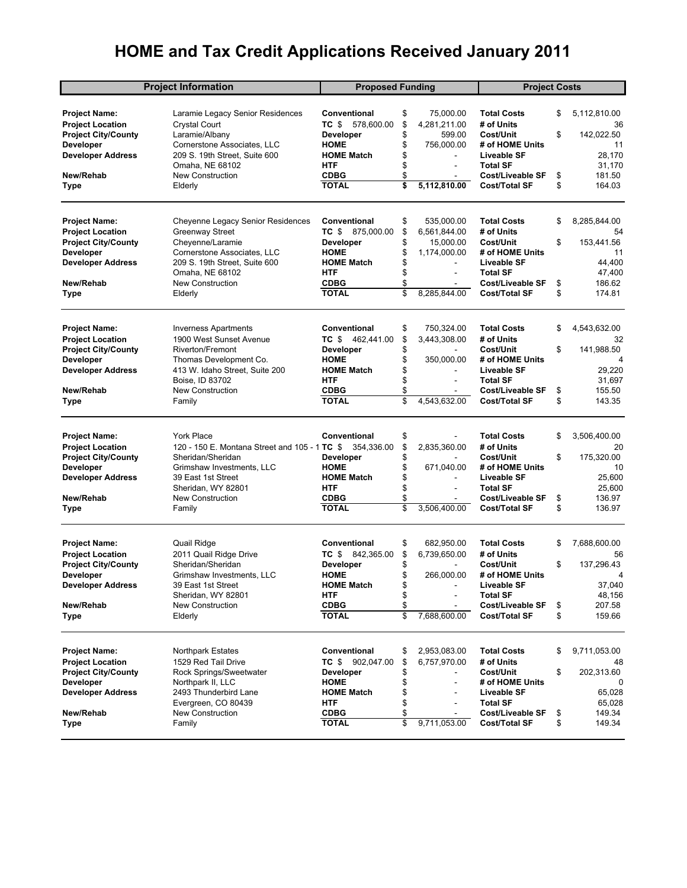## **HOME and Tax Credit Applications Received January 2011**

| <b>Project Information</b> |                                               | <b>Proposed Funding</b> |    |                | <b>Project Costs</b>    |    |              |
|----------------------------|-----------------------------------------------|-------------------------|----|----------------|-------------------------|----|--------------|
|                            |                                               |                         |    |                |                         |    |              |
| <b>Project Name:</b>       | Laramie Legacy Senior Residences              | Conventional            | \$ | 75,000.00      | <b>Total Costs</b>      | \$ | 5,112,810.00 |
| <b>Project Location</b>    | <b>Crystal Court</b>                          | TC \$<br>578,600.00     | \$ | 4,281,211.00   | # of Units              |    | 36           |
| <b>Project City/County</b> | Laramie/Albany                                | <b>Developer</b>        | \$ | 599.00         | Cost/Unit               | \$ | 142,022.50   |
| <b>Developer</b>           | Cornerstone Associates, LLC                   | <b>HOME</b>             | \$ | 756,000.00     | # of HOME Units         |    | 11           |
| <b>Developer Address</b>   | 209 S. 19th Street, Suite 600                 | <b>HOME Match</b>       | \$ |                | <b>Liveable SF</b>      |    | 28,170       |
|                            | Omaha, NE 68102                               | <b>HTF</b>              | \$ | $\blacksquare$ | <b>Total SF</b>         |    | 31,170       |
| New/Rehab                  | <b>New Construction</b>                       | <b>CDBG</b>             | \$ | ÷.             | <b>Cost/Liveable SF</b> | \$ | 181.50       |
| Type                       | Elderly                                       | <b>TOTAL</b>            | \$ | 5,112,810.00   | <b>Cost/Total SF</b>    | \$ | 164.03       |
|                            |                                               |                         |    |                |                         |    |              |
| <b>Project Name:</b>       | Cheyenne Legacy Senior Residences             | Conventional            | \$ | 535,000.00     | <b>Total Costs</b>      | \$ | 8,285,844.00 |
| <b>Project Location</b>    | Greenway Street                               | TC \$ 875,000.00        | \$ | 6,561,844.00   | # of Units              |    | 54           |
| <b>Project City/County</b> | Cheyenne/Laramie                              | Developer               | \$ | 15,000.00      | Cost/Unit               | \$ | 153.441.56   |
| <b>Developer</b>           | Cornerstone Associates, LLC                   | <b>HOME</b>             | \$ | 1,174,000.00   | # of HOME Units         |    | 11           |
| <b>Developer Address</b>   | 209 S. 19th Street, Suite 600                 | <b>HOME Match</b>       | \$ |                | Liveable SF             |    | 44,400       |
|                            | Omaha, NE 68102                               | <b>HTF</b>              | \$ | $\sim$         | <b>Total SF</b>         |    | 47,400       |
| New/Rehab                  | <b>New Construction</b>                       | <b>CDBG</b>             | \$ |                | <b>Cost/Liveable SF</b> | \$ | 186.62       |
| Type                       | Elderly                                       | <b>TOTAL</b>            | \$ | 8,285,844.00   | <b>Cost/Total SF</b>    | \$ | 174.81       |
|                            |                                               |                         |    |                |                         |    |              |
| <b>Project Name:</b>       | <b>Inverness Apartments</b>                   | Conventional            | \$ | 750,324.00     | <b>Total Costs</b>      | \$ | 4,543,632.00 |
| <b>Project Location</b>    | 1900 West Sunset Avenue                       | TC \$<br>462,441.00     | \$ | 3,443,308.00   | # of Units              |    | 32           |
| <b>Project City/County</b> | Riverton/Fremont                              | <b>Developer</b>        | \$ | $\sim$         | Cost/Unit               | \$ | 141,988.50   |
| <b>Developer</b>           | Thomas Development Co.                        | <b>HOME</b>             | \$ | 350,000.00     | # of HOME Units         |    | 4            |
| <b>Developer Address</b>   | 413 W. Idaho Street, Suite 200                | <b>HOME Match</b>       | \$ |                | <b>Liveable SF</b>      |    | 29,220       |
|                            | Boise, ID 83702                               | <b>HTF</b>              | \$ | ÷.             | <b>Total SF</b>         |    | 31,697       |
| New/Rehab                  | <b>New Construction</b>                       | <b>CDBG</b>             | \$ |                | <b>Cost/Liveable SF</b> | \$ | 155.50       |
| Type                       | Family                                        | <b>TOTAL</b>            | \$ | 4,543,632.00   | <b>Cost/Total SF</b>    | \$ | 143.35       |
|                            |                                               |                         |    |                |                         |    |              |
| <b>Project Name:</b>       | <b>York Place</b>                             | <b>Conventional</b>     | \$ |                | <b>Total Costs</b>      | \$ | 3,506,400.00 |
| <b>Project Location</b>    | 120 - 150 E. Montana Street and 105 - 1 TC \$ | 354,336.00              | \$ | 2,835,360.00   | # of Units              |    | 20           |
| <b>Project City/County</b> | Sheridan/Sheridan                             | <b>Developer</b>        | \$ | $\sim$         | Cost/Unit               | \$ | 175,320.00   |
| <b>Developer</b>           | Grimshaw Investments, LLC                     | <b>HOME</b>             | \$ | 671,040.00     | # of HOME Units         |    | 10           |
| <b>Developer Address</b>   | 39 East 1st Street                            | <b>HOME Match</b>       | \$ |                | <b>Liveable SF</b>      |    | 25,600       |
|                            | Sheridan, WY 82801                            | <b>HTF</b>              | \$ | ä,             | <b>Total SF</b>         |    | 25,600       |
| New/Rehab                  | <b>New Construction</b>                       | <b>CDBG</b>             | \$ |                | <b>Cost/Liveable SF</b> | \$ | 136.97       |
| Type                       | Family                                        | <b>TOTAL</b>            | \$ | 3,506,400.00   | <b>Cost/Total SF</b>    | \$ | 136.97       |
|                            |                                               |                         |    |                |                         |    |              |
| <b>Project Name:</b>       | Quail Ridge                                   | Conventional            | \$ | 682,950.00     | <b>Total Costs</b>      | \$ | 7,688,600.00 |
| <b>Project Location</b>    | 2011 Quail Ridge Drive                        | TC \$<br>842,365.00     | \$ | 6,739,650.00   | # of Units              |    | 56           |
| <b>Project City/County</b> | Sheridan/Sheridan                             | <b>Developer</b>        | \$ |                | Cost/Unit               | \$ | 137,296.43   |
| <b>Developer</b>           | Grimshaw Investments, LLC                     | <b>HOME</b>             | \$ | 266,000.00     | # of HOME Units         |    | 4            |
| <b>Developer Address</b>   | 39 East 1st Street                            | <b>HOME Match</b>       | \$ |                | Liveable SF             |    | 37,040       |
|                            | Sheridan, WY 82801                            | <b>HTF</b>              | \$ |                | <b>Total SF</b>         |    | 48,156       |
| New/Rehab                  | <b>New Construction</b>                       | <b>CDBG</b>             | \$ |                | Cost/Liveable SF        | \$ | 207.58       |
| Type                       | Elderly                                       | <b>TOTAL</b>            | \$ | 7,688,600.00   | <b>Cost/Total SF</b>    | \$ | 159.66       |
|                            |                                               | Conventional            |    |                |                         |    |              |
| <b>Project Name:</b>       | <b>Northpark Estates</b>                      |                         | \$ | 2,953,083.00   | <b>Total Costs</b>      | \$ | 9,711,053.00 |
| <b>Project Location</b>    | 1529 Red Tail Drive                           | TC \$ 902,047.00        | \$ | 6,757,970.00   | # of Units              |    | 48           |
| <b>Project City/County</b> | Rock Springs/Sweetwater                       | <b>Developer</b>        | \$ |                | Cost/Unit               | \$ | 202,313.60   |
| <b>Developer</b>           | Northpark II, LLC                             | <b>HOME</b>             | \$ |                | # of HOME Units         |    | 0            |
| <b>Developer Address</b>   | 2493 Thunderbird Lane                         | <b>HOME Match</b>       | \$ |                | Liveable SF             |    | 65,028       |
|                            | Evergreen, CO 80439                           | <b>HTF</b>              | \$ |                | <b>Total SF</b>         |    | 65,028       |
| New/Rehab                  | New Construction                              | <b>CDBG</b>             | \$ |                | Cost/Liveable SF        | \$ | 149.34       |
| Type                       | Family                                        | <b>TOTAL</b>            | \$ | 9,711,053.00   | <b>Cost/Total SF</b>    | \$ | 149.34       |